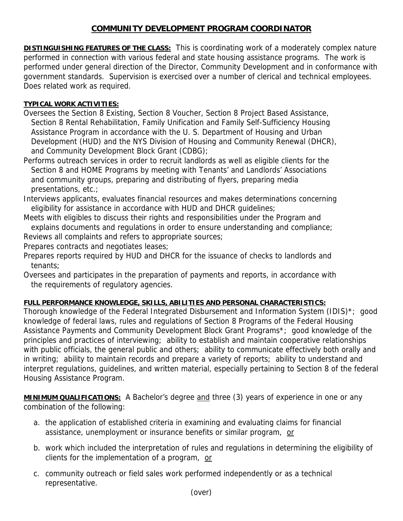## **COMMUNITY DEVELOPMENT PROGRAM COORDINATOR**

**DISTINGUISHING FEATURES OF THE CLASS:** This is coordinating work of a moderately complex nature performed in connection with various federal and state housing assistance programs. The work is performed under general direction of the Director, Community Development and in conformance with government standards. Supervision is exercised over a number of clerical and technical employees. Does related work as required.

## **TYPICAL WORK ACTIVITIES:**

- Oversees the Section 8 Existing, Section 8 Voucher, Section 8 Project Based Assistance, Section 8 Rental Rehabilitation, Family Unification and Family Self-Sufficiency Housing Assistance Program in accordance with the U. S. Department of Housing and Urban Development (HUD) and the NYS Division of Housing and Community Renewal (DHCR), and Community Development Block Grant (CDBG);
- Performs outreach services in order to recruit landlords as well as eligible clients for the Section 8 and HOME Programs by meeting with Tenants' and Landlords' Associations and community groups, preparing and distributing of flyers, preparing media presentations, etc.;
- Interviews applicants, evaluates financial resources and makes determinations concerning eligibility for assistance in accordance with HUD and DHCR guidelines;
- Meets with eligibles to discuss their rights and responsibilities under the Program and explains documents and regulations in order to ensure understanding and compliance;

Reviews all complaints and refers to appropriate sources;

Prepares contracts and negotiates leases;

- Prepares reports required by HUD and DHCR for the issuance of checks to landlords and tenants;
- Oversees and participates in the preparation of payments and reports, in accordance with the requirements of regulatory agencies.

## **FULL PERFORMANCE KNOWLEDGE, SKILLS, ABILITIES AND PERSONAL CHARACTERISTICS:**

Thorough knowledge of the Federal Integrated Disbursement and Information System (IDIS)\*; good knowledge of federal laws, rules and regulations of Section 8 Programs of the Federal Housing Assistance Payments and Community Development Block Grant Programs\*; good knowledge of the principles and practices of interviewing; ability to establish and maintain cooperative relationships with public officials, the general public and others; ability to communicate effectively both orally and in writing; ability to maintain records and prepare a variety of reports; ability to understand and interpret regulations, guidelines, and written material, especially pertaining to Section 8 of the federal Housing Assistance Program.

**MINIMUM QUALIFICATIONS:** A Bachelor's degree and three (3) years of experience in one or any combination of the following:

- a. the application of established criteria in examining and evaluating claims for financial assistance, unemployment or insurance benefits or similar program, or
- b. work which included the interpretation of rules and regulations in determining the eligibility of clients for the implementation of a program, or
- c. community outreach or field sales work performed independently or as a technical representative.